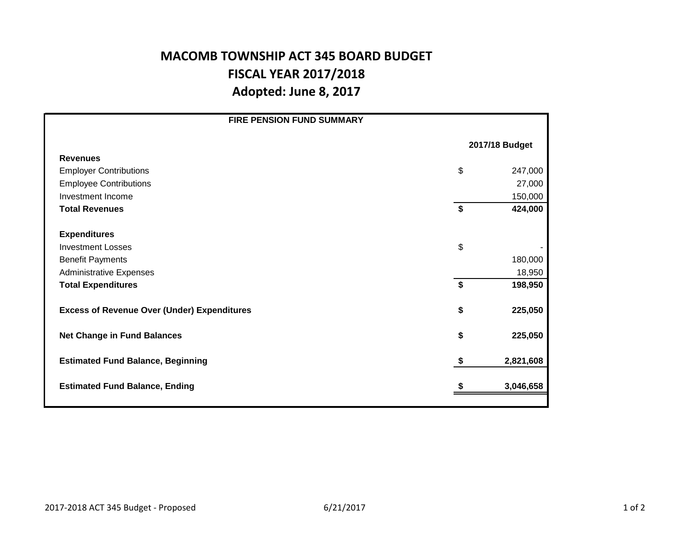## **MACOMB TOWNSHIP ACT 345 BOARD BUDGET FISCAL YEAR 2017/2018 Adopted: June 8, 2017**

| <b>FIRE PENSION FUND SUMMARY</b>                   |                |           |  |  |
|----------------------------------------------------|----------------|-----------|--|--|
|                                                    | 2017/18 Budget |           |  |  |
| <b>Revenues</b>                                    |                |           |  |  |
| <b>Employer Contributions</b>                      | \$             | 247,000   |  |  |
| <b>Employee Contributions</b>                      |                | 27,000    |  |  |
| Investment Income                                  |                | 150,000   |  |  |
| <b>Total Revenues</b>                              | \$             | 424,000   |  |  |
|                                                    |                |           |  |  |
| <b>Expenditures</b>                                |                |           |  |  |
| <b>Investment Losses</b>                           | \$             |           |  |  |
| <b>Benefit Payments</b>                            |                | 180,000   |  |  |
| <b>Administrative Expenses</b>                     |                | 18,950    |  |  |
| <b>Total Expenditures</b>                          | \$             | 198,950   |  |  |
|                                                    |                |           |  |  |
| <b>Excess of Revenue Over (Under) Expenditures</b> | \$             | 225,050   |  |  |
| <b>Net Change in Fund Balances</b>                 | \$             | 225,050   |  |  |
|                                                    |                |           |  |  |
| <b>Estimated Fund Balance, Beginning</b>           | \$             | 2,821,608 |  |  |
|                                                    |                |           |  |  |
| <b>Estimated Fund Balance, Ending</b>              |                | 3,046,658 |  |  |
|                                                    |                |           |  |  |